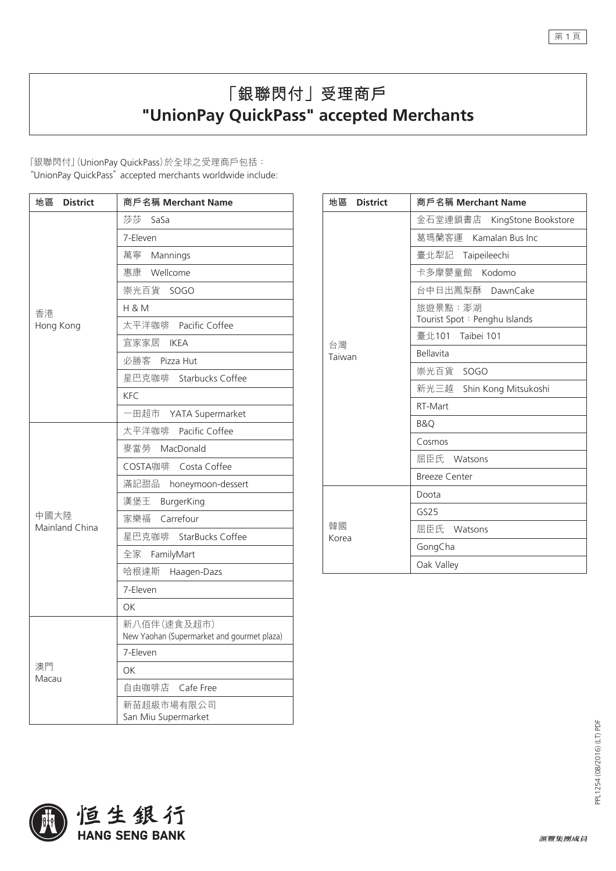## **「銀聯閃付」受理商戶 "UnionPay QuickPass" accepted Merchants**

「銀聯閃付」(UnionPay QuickPass)於全球之受理商戶包括: "UnionPay QuickPass" accepted merchants worldwide include:

| 地區<br><b>District</b>  | 商戶名稱 Merchant Name                                        |
|------------------------|-----------------------------------------------------------|
| 香港<br>Hong Kong        | 莎莎<br>SaSa                                                |
|                        | 7-Eleven                                                  |
|                        | 萬寧 Mannings                                               |
|                        | 惠康 Wellcome                                               |
|                        | 崇光百貨 SOGO                                                 |
|                        | <b>H &amp; M</b>                                          |
|                        | 太平洋咖啡 Pacific Coffee                                      |
|                        | 宜家家居 IKEA                                                 |
|                        | 必勝客 Pizza Hut                                             |
|                        | 星巴克咖啡 Starbucks Coffee                                    |
|                        | <b>KFC</b>                                                |
|                        | 一田超市 YATA Supermarket                                     |
|                        | 太平洋咖啡<br>Pacific Coffee                                   |
| 中國大陸<br>Mainland China | 麥當勞<br>MacDonald                                          |
|                        | COSTA咖啡 Costa Coffee                                      |
|                        | 滿記甜品<br>honeymoon-dessert                                 |
|                        | 漢堡王 BurgerKing                                            |
|                        | Carrefour<br>家樂福                                          |
|                        | 星巴克咖啡 StarBucks Coffee                                    |
|                        | 全家 FamilyMart                                             |
|                        | 哈根達斯 Haagen-Dazs                                          |
|                        | 7-Eleven                                                  |
|                        | ΟK                                                        |
| 澳門<br>Macau            | 新八佰伴(速食及超市)<br>New Yaohan (Supermarket and gourmet plaza) |
|                        | 7-Eleven                                                  |
|                        | OK                                                        |
|                        | 自由咖啡店 Cafe Free                                           |
|                        | 新苗超級市場有限公司<br>San Miu Supermarket                         |

| 地區 District  | 商戶名稱 Merchant Name                      |
|--------------|-----------------------------------------|
| 台灣<br>Taiwan | 金石堂連鎖書店<br>KingStone Bookstore          |
|              | 葛瑪蘭客運 Kamalan Bus Inc                   |
|              | 臺北犁記 Taipeileechi                       |
|              | 卡多摩嬰童館 Kodomo                           |
|              | 台中日出鳳梨酥 DawnCake                        |
|              | 旅遊景點:澎湖<br>Tourist Spot: Penghu Islands |
|              | 臺北101 Taibei 101                        |
|              | <b>Bellavita</b>                        |
|              | 崇光百貨 SOGO                               |
|              | 新光三越 Shin Kong Mitsukoshi               |
|              | RT-Mart                                 |
|              | <b>B&amp;O</b>                          |
|              | Cosmos                                  |
|              | 屈臣氏 Watsons                             |
|              | <b>Breeze Center</b>                    |
| 韓國<br>Korea  | Doota                                   |
|              | GS25                                    |
|              | 屈臣氏 Watsons                             |
|              | GongCha                                 |
|              | Oak Valley                              |





第1頁